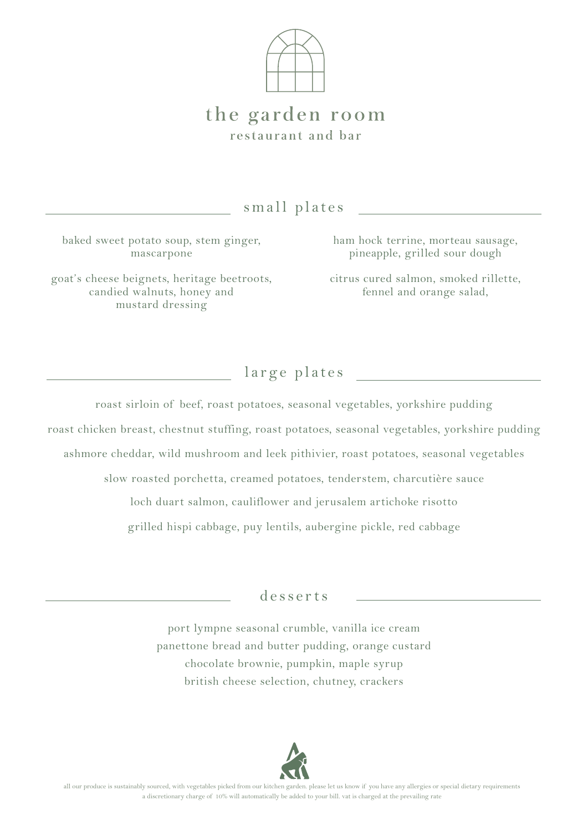

## the garden room restaurant and bar

small plates

baked sweet potato soup, stem ginger, mascarpone

goat's cheese beignets, heritage beetroots, candied walnuts, honey and mustard dressing

ham hock terrine, morteau sausage, pineapple, grilled sour dough

citrus cured salmon, smoked rillette, fennel and orange salad,

large plates

roast sirloin of beef, roast potatoes, seasonal vegetables, yorkshire pudding roast chicken breast, chestnut stuffing, roast potatoes, seasonal vegetables, yorkshire pudding ashmore cheddar, wild mushroom and leek pithivier, roast potatoes, seasonal vegetables slow roasted porchetta, creamed potatoes, tenderstem, charcutière sauce loch duart salmon, cauliflower and jerusalem artichoke risotto

grilled hispi cabbage, puy lentils, aubergine pickle, red cabbage

desserts

port lympne seasonal crumble, vanilla ice cream panettone bread and butter pudding, orange custard chocolate brownie, pumpkin, maple syrup british cheese selection, chutney, crackers